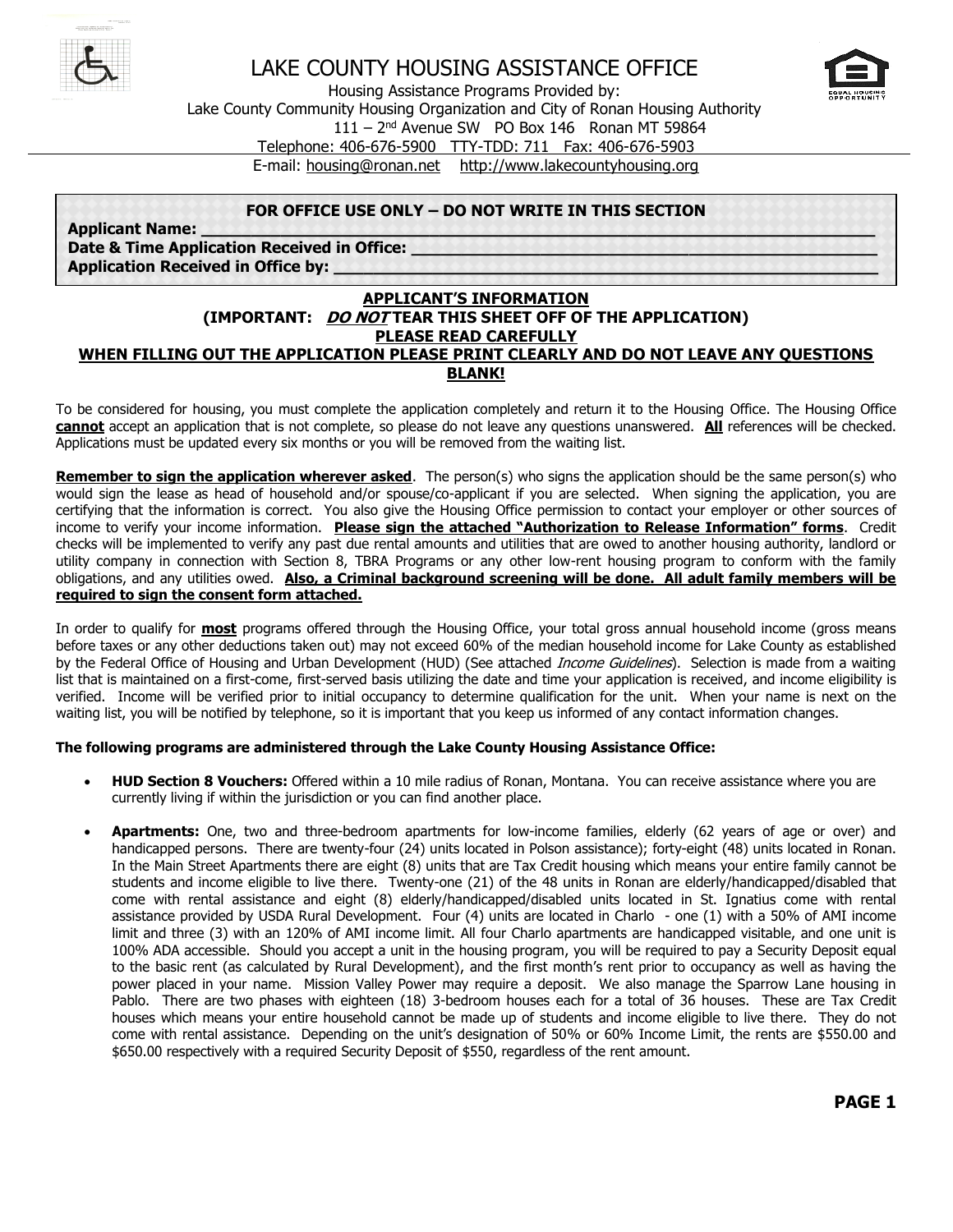



Housing Assistance Programs Provided by:

Lake County Community Housing Organization and City of Ronan Housing Authority

111 – 2 nd Avenue SW PO Box 146 Ronan MT 59864

Telephone: 406-676-5900 TTY-TDD: 711 Fax: 406-676-5903

E-mail: [housing@ronan.net](mailto:housing@ronan.net) [http://www.lakecountyhousing.org](http://www.lakecountyhousing.org/)

#### **FOR OFFICE USE ONLY – DO NOT WRITE IN THIS SECTION**

**Applicant Name:** Date & Time Application Received in Office: **Application Received in Office by:** 

#### **APPLICANT'S INFORMATION (IMPORTANT: DO NOT TEAR THIS SHEET OFF OF THE APPLICATION) PLEASE READ CAREFULLY WHEN FILLING OUT THE APPLICATION PLEASE PRINT CLEARLY AND DO NOT LEAVE ANY QUESTIONS BLANK!**

To be considered for housing, you must complete the application completely and return it to the Housing Office. The Housing Office **cannot** accept an application that is not complete, so please do not leave any questions unanswered. **All** references will be checked. Applications must be updated every six months or you will be removed from the waiting list.

**Remember to sign the application wherever asked**. The person(s) who signs the application should be the same person(s) who would sign the lease as head of household and/or spouse/co-applicant if you are selected. When signing the application, you are certifying that the information is correct. You also give the Housing Office permission to contact your employer or other sources of income to verify your income information. **Please sign the attached "Authorization to Release Information" forms**. Credit checks will be implemented to verify any past due rental amounts and utilities that are owed to another housing authority, landlord or utility company in connection with Section 8, TBRA Programs or any other low-rent housing program to conform with the family obligations, and any utilities owed. **Also, a Criminal background screening will be done. All adult family members will be required to sign the consent form attached.**

In order to qualify for **most** programs offered through the Housing Office, your total gross annual household income (gross means before taxes or any other deductions taken out) may not exceed 60% of the median household income for Lake County as established by the Federal Office of Housing and Urban Development (HUD) (See attached *Income Guidelines*). Selection is made from a waiting list that is maintained on a first-come, first-served basis utilizing the date and time your application is received, and income eligibility is verified. Income will be verified prior to initial occupancy to determine qualification for the unit. When your name is next on the waiting list, you will be notified by telephone, so it is important that you keep us informed of any contact information changes.

#### **The following programs are administered through the Lake County Housing Assistance Office:**

- **HUD Section 8 Vouchers:** Offered within a 10 mile radius of Ronan, Montana. You can receive assistance where you are currently living if within the jurisdiction or you can find another place.
- **Apartments:** One, two and three-bedroom apartments for low-income families, elderly (62 years of age or over) and handicapped persons. There are twenty-four (24) units located in Polson assistance); forty-eight (48) units located in Ronan. In the Main Street Apartments there are eight (8) units that are Tax Credit housing which means your entire family cannot be students and income eligible to live there. Twenty-one (21) of the 48 units in Ronan are elderly/handicapped/disabled that come with rental assistance and eight (8) elderly/handicapped/disabled units located in St. Ignatius come with rental assistance provided by USDA Rural Development. Four (4) units are located in Charlo - one (1) with a 50% of AMI income limit and three (3) with an 120% of AMI income limit. All four Charlo apartments are handicapped visitable, and one unit is 100% ADA accessible. Should you accept a unit in the housing program, you will be required to pay a Security Deposit equal to the basic rent (as calculated by Rural Development), and the first month's rent prior to occupancy as well as having the power placed in your name. Mission Valley Power may require a deposit. We also manage the Sparrow Lane housing in Pablo. There are two phases with eighteen (18) 3-bedroom houses each for a total of 36 houses. These are Tax Credit houses which means your entire household cannot be made up of students and income eligible to live there. They do not come with rental assistance. Depending on the unit's designation of 50% or 60% Income Limit, the rents are \$550.00 and \$650.00 respectively with a required Security Deposit of \$550, regardless of the rent amount.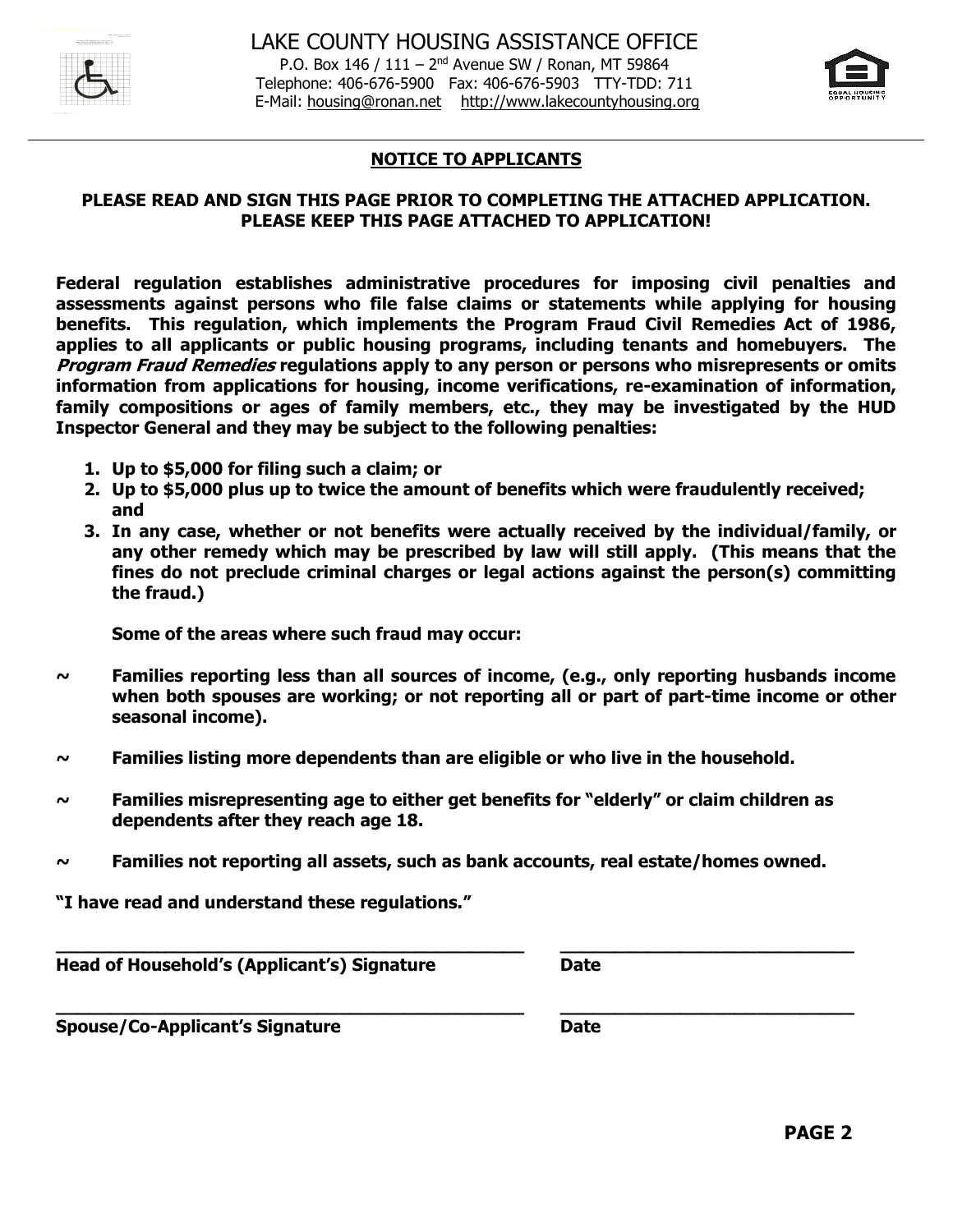

P.O. Box 146 / 111 - 2<sup>nd</sup> Avenue SW / Ronan, MT 59864 Telephone: 406-676-5900 Fax: 406-676-5903 TTY-TDD: 711 E-Mail: [housing@ronan.net](mailto:housing@ronan.net) [http://www.lakecountyhousing.org](http://www.lakecountyhousing.org/)



### **NOTICE TO APPLICANTS**

#### **PLEASE READ AND SIGN THIS PAGE PRIOR TO COMPLETING THE ATTACHED APPLICATION. PLEASE KEEP THIS PAGE ATTACHED TO APPLICATION!**

**Federal regulation establishes administrative procedures for imposing civil penalties and assessments against persons who file false claims or statements while applying for housing benefits. This regulation, which implements the Program Fraud Civil Remedies Act of 1986, applies to all applicants or public housing programs, including tenants and homebuyers. The Program Fraud Remedies regulations apply to any person or persons who misrepresents or omits information from applications for housing, income verifications, re-examination of information, family compositions or ages of family members, etc., they may be investigated by the HUD Inspector General and they may be subject to the following penalties:**

- **1. Up to \$5,000 for filing such a claim; or**
- **2. Up to \$5,000 plus up to twice the amount of benefits which were fraudulently received; and**
- **3. In any case, whether or not benefits were actually received by the individual/family, or any other remedy which may be prescribed by law will still apply. (This means that the fines do not preclude criminal charges or legal actions against the person(s) committing the fraud.)**

**Some of the areas where such fraud may occur:**

- **~ Families reporting less than all sources of income, (e.g., only reporting husbands income when both spouses are working; or not reporting all or part of part-time income or other seasonal income).**
- **~ Families listing more dependents than are eligible or who live in the household.**
- **~ Families misrepresenting age to either get benefits for "elderly" or claim children as dependents after they reach age 18.**
- **~ Families not reporting all assets, such as bank accounts, real estate/homes owned.**

**\_\_\_\_\_\_\_\_\_\_\_\_\_\_\_\_\_\_\_\_\_\_\_\_\_\_\_\_\_\_\_\_\_\_\_\_\_\_\_\_\_\_\_ \_\_\_\_\_\_\_\_\_\_\_\_\_\_\_\_\_\_\_\_\_\_\_\_\_\_\_**

**\_\_\_\_\_\_\_\_\_\_\_\_\_\_\_\_\_\_\_\_\_\_\_\_\_\_\_\_\_\_\_\_\_\_\_\_\_\_\_\_\_\_\_ \_\_\_\_\_\_\_\_\_\_\_\_\_\_\_\_\_\_\_\_\_\_\_\_\_\_\_**

**"I have read and understand these regulations."**

**Head of Household's (Applicant's) Signature Date**

**Spouse/Co-Applicant's Signature Date**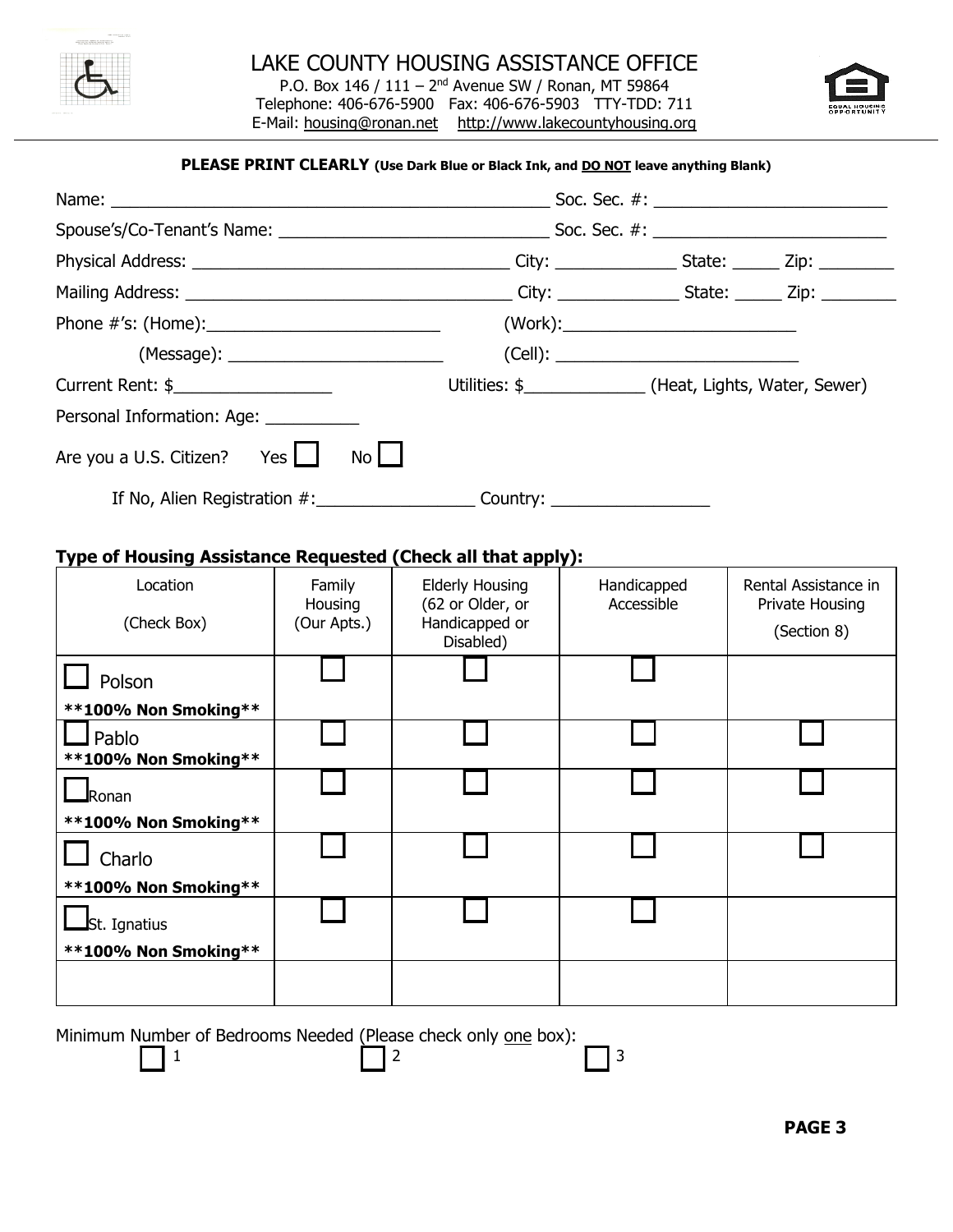

P.O. Box 146 / 111 - 2<sup>nd</sup> Avenue SW / Ronan, MT 59864 Telephone: 406-676-5900 Fax: 406-676-5903 TTY-TDD: 711 E-Mail: [housing@ronan.net](mailto:housing@ronan.net) [http://www.lakecountyhousing.org](http://www.lakecountyhousing.org/)



#### **PLEASE PRINT CLEARLY (Use Dark Blue or Black Ink, and DO NOT leave anything Blank)**

| Name: _                                                      |                   |                                            |                                                              |                                         |
|--------------------------------------------------------------|-------------------|--------------------------------------------|--------------------------------------------------------------|-----------------------------------------|
|                                                              |                   |                                            |                                                              |                                         |
|                                                              |                   |                                            |                                                              |                                         |
|                                                              |                   |                                            |                                                              |                                         |
|                                                              |                   |                                            |                                                              |                                         |
|                                                              |                   |                                            |                                                              |                                         |
| Current Rent: \$                                             |                   |                                            | Utilities: \$___________________(Heat, Lights, Water, Sewer) |                                         |
| Personal Information: Age: __________                        |                   |                                            |                                                              |                                         |
| Are you a U.S. Citizen? Yes $\Box$                           | $N0$              | If No, Alien Registration #: Country:      |                                                              |                                         |
| Type of Housing Assistance Requested (Check all that apply): |                   |                                            |                                                              |                                         |
| Location                                                     | Family<br>Housing | <b>Elderly Housing</b><br>(62 or Older, or | Handicapped<br>Accessible                                    | Rental Assistance in<br>Private Housing |
| (Check Box)                                                  | (Our Apts.)       | Handicapped or<br>Disabled)                |                                                              | (Section 8)                             |
| Polson                                                       |                   |                                            |                                                              |                                         |
| **100% Non Smoking**                                         |                   |                                            |                                                              |                                         |
| $\Box$ Pablo<br>**100% Non Smoking**                         |                   |                                            |                                                              |                                         |
| $\blacksquare$ Ronan                                         |                   |                                            |                                                              |                                         |
| **100% Non Smoking**                                         |                   |                                            |                                                              |                                         |
| Charlo                                                       |                   |                                            |                                                              |                                         |
| **100% Non Smoking**                                         |                   |                                            |                                                              |                                         |
| St. Ignatius                                                 |                   |                                            |                                                              |                                         |
| **100% Non Smoking**                                         |                   |                                            |                                                              |                                         |
|                                                              |                   |                                            |                                                              |                                         |

Minimum Number of Bedrooms Needed (Please check only one box):

1  $\begin{array}{|c|c|c|c|c|}\n\hline\n1 & 2 & \text{1} & 3\n\end{array}$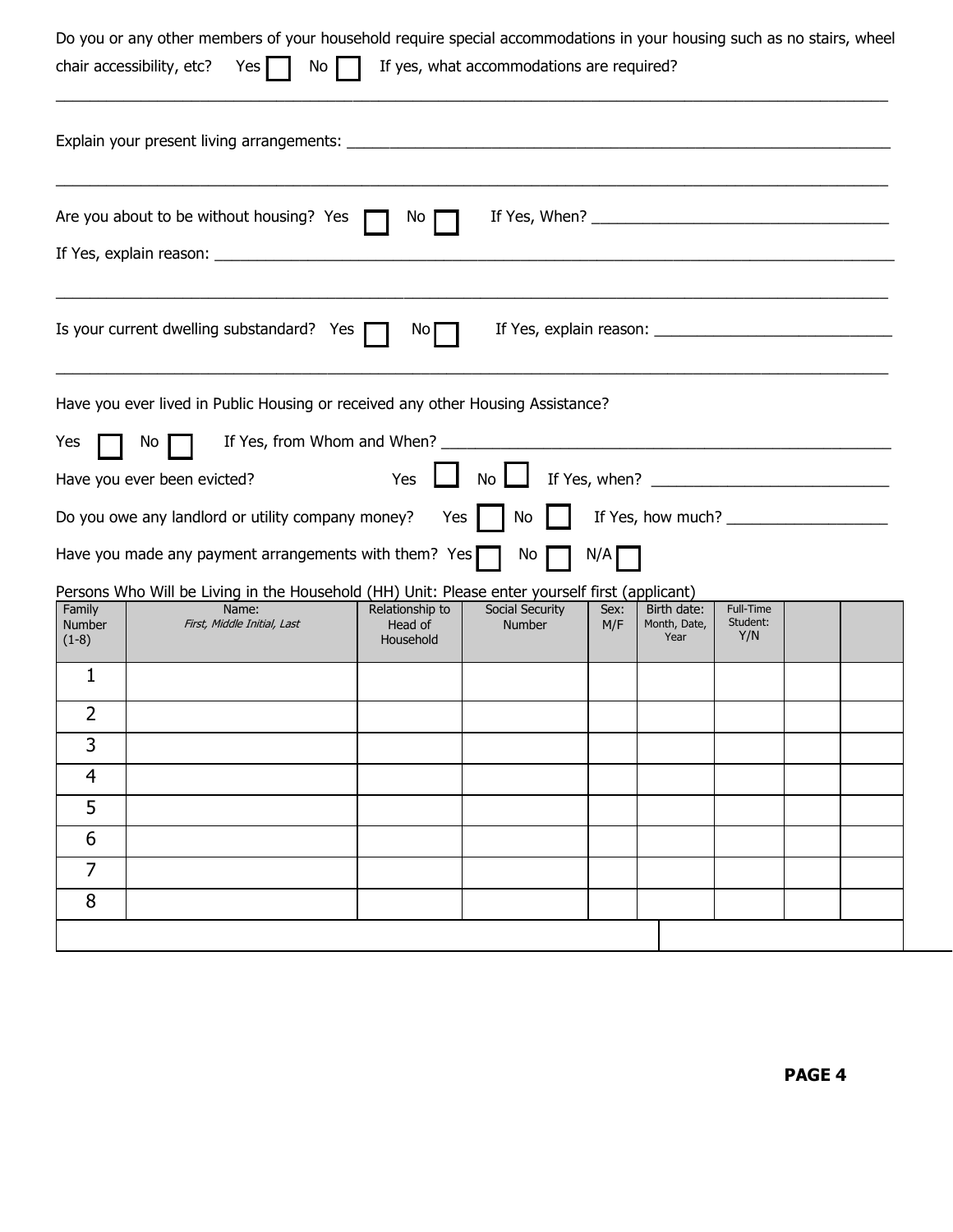|                                    | Do you or any other members of your household require special accommodations in your housing such as no stairs, wheel<br>No <sub>1</sub><br>chair accessibility, etc?<br>Yes |                                         | If yes, what accommodations are required? |             |                                     |                              |  |
|------------------------------------|------------------------------------------------------------------------------------------------------------------------------------------------------------------------------|-----------------------------------------|-------------------------------------------|-------------|-------------------------------------|------------------------------|--|
|                                    |                                                                                                                                                                              |                                         |                                           |             |                                     |                              |  |
|                                    | Are you about to be without housing? Yes                                                                                                                                     | No                                      |                                           |             |                                     |                              |  |
|                                    | Is your current dwelling substandard? Yes                                                                                                                                    | No.                                     |                                           |             |                                     |                              |  |
| Yes                                | Have you ever lived in Public Housing or received any other Housing Assistance?<br>Νo<br>Have you ever been evicted?                                                         | Yes                                     | No                                        |             |                                     |                              |  |
|                                    | Do you owe any landlord or utility company money?<br>Have you made any payment arrangements with them? Yes $\lceil$                                                          | Yes                                     | No<br>No                                  | N/A         |                                     |                              |  |
| Family<br><b>Number</b><br>$(1-8)$ | Persons Who Will be Living in the Household (HH) Unit: Please enter yourself first (applicant)<br>Name:<br>First, Middle Initial, Last                                       | Relationship to<br>Head of<br>Household | Social Security<br><b>Number</b>          | Sex:<br>M/F | Birth date:<br>Month, Date,<br>Year | Full-Time<br>Student:<br>Y/N |  |
| 1                                  |                                                                                                                                                                              |                                         |                                           |             |                                     |                              |  |
| $\overline{2}$                     |                                                                                                                                                                              |                                         |                                           |             |                                     |                              |  |
| 3                                  |                                                                                                                                                                              |                                         |                                           |             |                                     |                              |  |
| 4                                  |                                                                                                                                                                              |                                         |                                           |             |                                     |                              |  |
| 5                                  |                                                                                                                                                                              |                                         |                                           |             |                                     |                              |  |
| 6                                  |                                                                                                                                                                              |                                         |                                           |             |                                     |                              |  |
| $\overline{7}$                     |                                                                                                                                                                              |                                         |                                           |             |                                     |                              |  |
| 8                                  |                                                                                                                                                                              |                                         |                                           |             |                                     |                              |  |
|                                    |                                                                                                                                                                              |                                         |                                           |             |                                     |                              |  |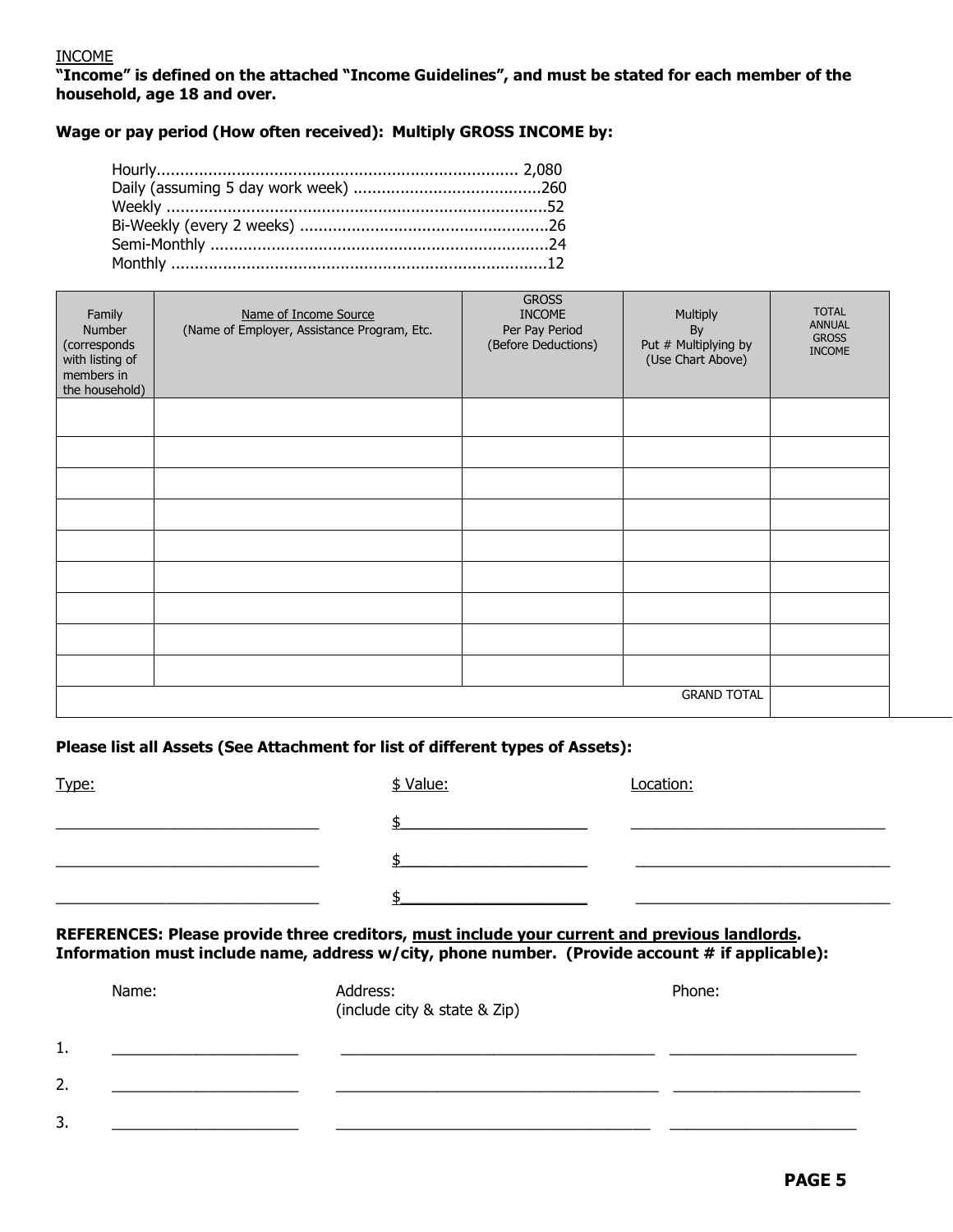#### INCOME

**"Income" is defined on the attached "Income Guidelines", and must be stated for each member of the household, age 18 and over.**

**Wage or pay period (How often received): Multiply GROSS INCOME by:**

| Family<br>Number<br>(corresponds<br>with listing of<br>members in<br>the household) | Name of Income Source<br>(Name of Employer, Assistance Program, Etc. | <b>GROSS</b><br><b>INCOME</b><br>Per Pay Period<br>(Before Deductions) | Multiply<br>By<br>Put # Multiplying by<br>(Use Chart Above) | <b>TOTAL</b><br><b>ANNUAL</b><br><b>GROSS</b><br><b>INCOME</b> |  |
|-------------------------------------------------------------------------------------|----------------------------------------------------------------------|------------------------------------------------------------------------|-------------------------------------------------------------|----------------------------------------------------------------|--|
|                                                                                     |                                                                      |                                                                        |                                                             |                                                                |  |
|                                                                                     |                                                                      |                                                                        |                                                             |                                                                |  |
|                                                                                     |                                                                      |                                                                        |                                                             |                                                                |  |
|                                                                                     |                                                                      |                                                                        |                                                             |                                                                |  |
|                                                                                     |                                                                      |                                                                        |                                                             |                                                                |  |
|                                                                                     |                                                                      |                                                                        |                                                             |                                                                |  |
|                                                                                     |                                                                      |                                                                        |                                                             |                                                                |  |
|                                                                                     |                                                                      |                                                                        |                                                             |                                                                |  |
|                                                                                     |                                                                      |                                                                        |                                                             |                                                                |  |
|                                                                                     | <b>GRAND TOTAL</b>                                                   |                                                                        |                                                             |                                                                |  |

#### **Please list all Assets (See Attachment for list of different types of Assets):**

| Type: | \$ Value: | Location: |
|-------|-----------|-----------|
|       |           |           |
|       |           |           |
|       |           |           |

#### **REFERENCES: Please provide three creditors, must include your current and previous landlords. Information must include name, address w/city, phone number. (Provide account # if applicable):**

|                | Name: | Address:<br>(include city & state & Zip) | Phone: |
|----------------|-------|------------------------------------------|--------|
| 1.<br><b>.</b> |       |                                          |        |
| 2.             |       |                                          |        |
| 3.             |       |                                          |        |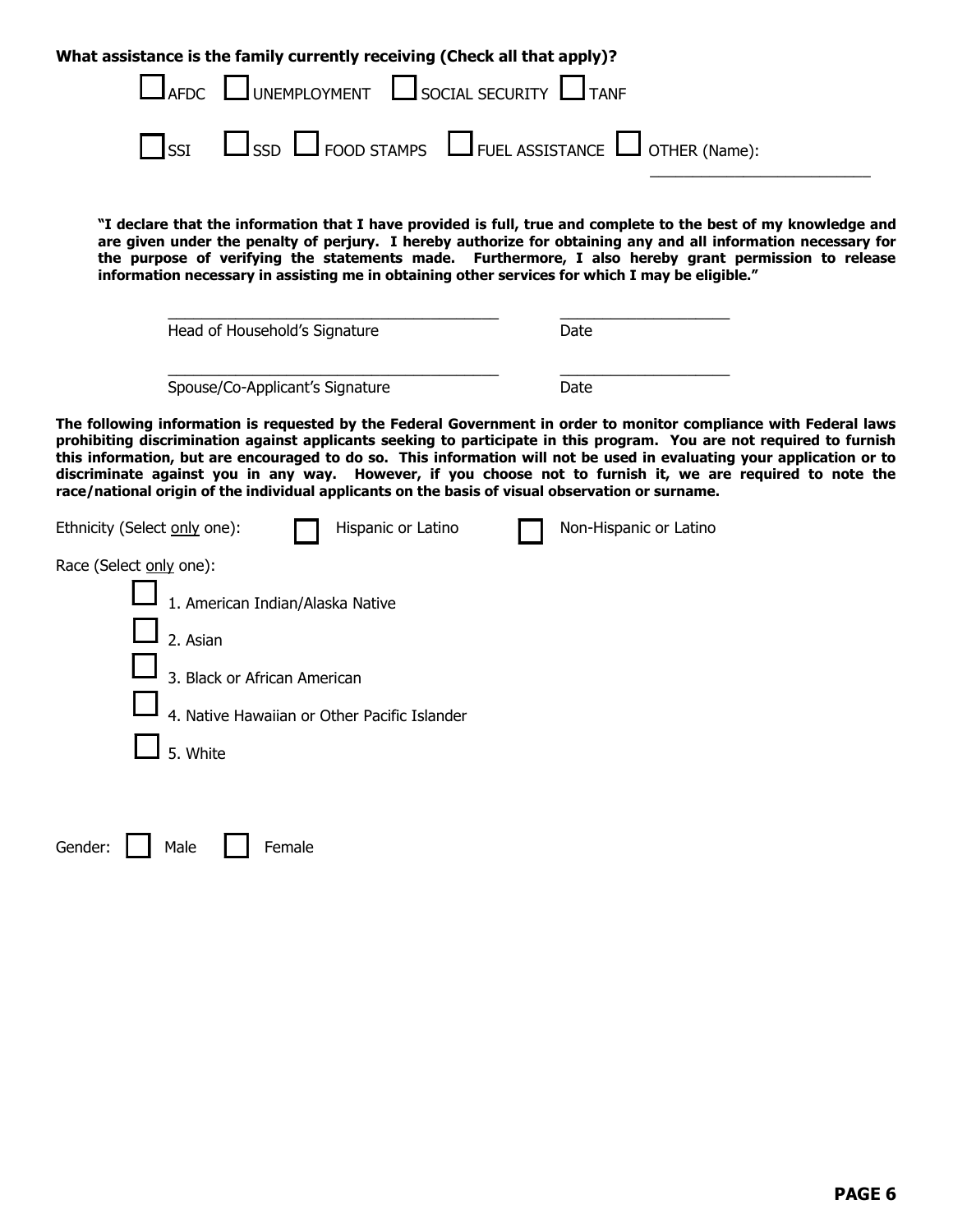| What assistance is the family currently receiving (Check all that apply)?                                                                                                                                                                                                                                                                                                                                                                                                                                                                                                             |                        |  |  |  |  |  |
|---------------------------------------------------------------------------------------------------------------------------------------------------------------------------------------------------------------------------------------------------------------------------------------------------------------------------------------------------------------------------------------------------------------------------------------------------------------------------------------------------------------------------------------------------------------------------------------|------------------------|--|--|--|--|--|
| UNEMPLOYMENT SOCIAL SECURITY<br><b>AFDC</b>                                                                                                                                                                                                                                                                                                                                                                                                                                                                                                                                           |                        |  |  |  |  |  |
| USSD U FOOD STAMPS U FUEL ASSISTANCE U OTHER (Name):<br><b>SSI</b>                                                                                                                                                                                                                                                                                                                                                                                                                                                                                                                    |                        |  |  |  |  |  |
| "I declare that the information that I have provided is full, true and complete to the best of my knowledge and<br>are given under the penalty of perjury. I hereby authorize for obtaining any and all information necessary for<br>the purpose of verifying the statements made. Furthermore, I also hereby grant permission to release<br>information necessary in assisting me in obtaining other services for which I may be eligible."                                                                                                                                          |                        |  |  |  |  |  |
| Head of Household's Signature                                                                                                                                                                                                                                                                                                                                                                                                                                                                                                                                                         | Date                   |  |  |  |  |  |
| Spouse/Co-Applicant's Signature                                                                                                                                                                                                                                                                                                                                                                                                                                                                                                                                                       | Date                   |  |  |  |  |  |
| The following information is requested by the Federal Government in order to monitor compliance with Federal laws<br>prohibiting discrimination against applicants seeking to participate in this program. You are not required to furnish<br>this information, but are encouraged to do so. This information will not be used in evaluating your application or to<br>discriminate against you in any way. However, if you choose not to furnish it, we are required to note the<br>race/national origin of the individual applicants on the basis of visual observation or surname. |                        |  |  |  |  |  |
| Ethnicity (Select only one):<br>Hispanic or Latino                                                                                                                                                                                                                                                                                                                                                                                                                                                                                                                                    | Non-Hispanic or Latino |  |  |  |  |  |
| Race (Select only one):<br>1. American Indian/Alaska Native                                                                                                                                                                                                                                                                                                                                                                                                                                                                                                                           |                        |  |  |  |  |  |
| 2. Asian                                                                                                                                                                                                                                                                                                                                                                                                                                                                                                                                                                              |                        |  |  |  |  |  |
| 3. Black or African American                                                                                                                                                                                                                                                                                                                                                                                                                                                                                                                                                          |                        |  |  |  |  |  |
| 4. Native Hawaiian or Other Pacific Islander<br>5. White                                                                                                                                                                                                                                                                                                                                                                                                                                                                                                                              |                        |  |  |  |  |  |
|                                                                                                                                                                                                                                                                                                                                                                                                                                                                                                                                                                                       |                        |  |  |  |  |  |
| Gender:<br>Male<br>Female                                                                                                                                                                                                                                                                                                                                                                                                                                                                                                                                                             |                        |  |  |  |  |  |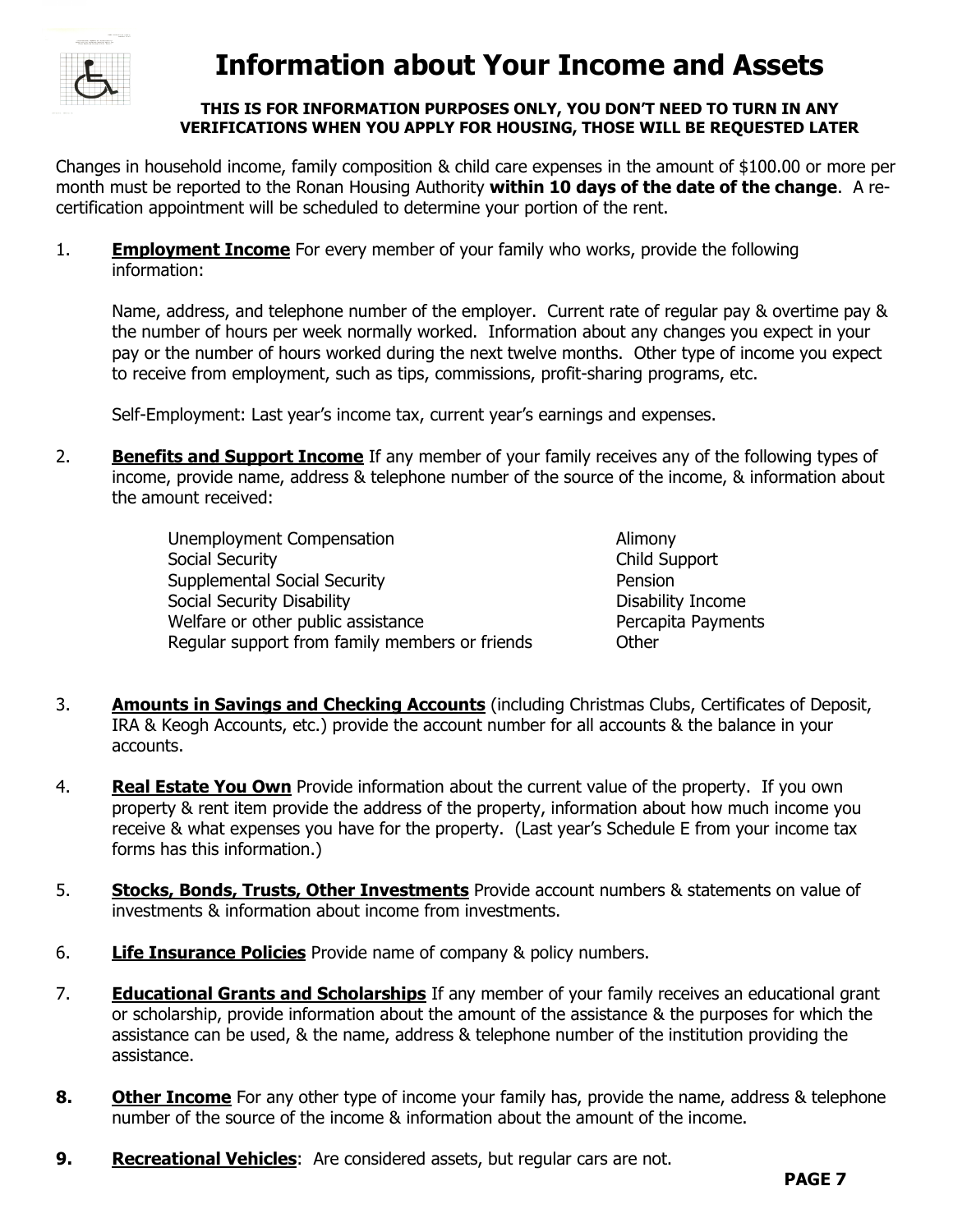

## **Information about Your Income and Assets**

#### **THIS IS FOR INFORMATION PURPOSES ONLY, YOU DON'T NEED TO TURN IN ANY VERIFICATIONS WHEN YOU APPLY FOR HOUSING, THOSE WILL BE REQUESTED LATER**

Changes in household income, family composition & child care expenses in the amount of \$100.00 or more per month must be reported to the Ronan Housing Authority **within 10 days of the date of the change**. A recertification appointment will be scheduled to determine your portion of the rent.

1. **Employment Income** For every member of your family who works, provide the following information:

Name, address, and telephone number of the employer. Current rate of regular pay & overtime pay & the number of hours per week normally worked. Information about any changes you expect in your pay or the number of hours worked during the next twelve months. Other type of income you expect to receive from employment, such as tips, commissions, profit-sharing programs, etc.

Self-Employment: Last year's income tax, current year's earnings and expenses.

2. **Benefits and Support Income** If any member of your family receives any of the following types of income, provide name, address & telephone number of the source of the income, & information about the amount received:

| Unemployment Compensation                      | Alimony          |
|------------------------------------------------|------------------|
| Social Security                                | Child Su         |
| <b>Supplemental Social Security</b>            | Pension          |
| Social Security Disability                     | <b>Disabilit</b> |
| Welfare or other public assistance             | Percapit         |
| Regular support from family members or friends | Other            |

- Alimony Child Support Disability Income Percapita Payments
- 3. **Amounts in Savings and Checking Accounts** (including Christmas Clubs, Certificates of Deposit, IRA & Keogh Accounts, etc.) provide the account number for all accounts & the balance in your accounts.
- 4. **Real Estate You Own** Provide information about the current value of the property. If you own property & rent item provide the address of the property, information about how much income you receive & what expenses you have for the property. (Last year's Schedule E from your income tax forms has this information.)
- 5. **Stocks, Bonds, Trusts, Other Investments** Provide account numbers & statements on value of investments & information about income from investments.
- 6. **Life Insurance Policies** Provide name of company & policy numbers.
- 7. **Educational Grants and Scholarships** If any member of your family receives an educational grant or scholarship, provide information about the amount of the assistance & the purposes for which the assistance can be used, & the name, address & telephone number of the institution providing the assistance.
- **8. Other Income** For any other type of income your family has, provide the name, address & telephone number of the source of the income & information about the amount of the income.
- **9. Recreational Vehicles**: Are considered assets, but regular cars are not.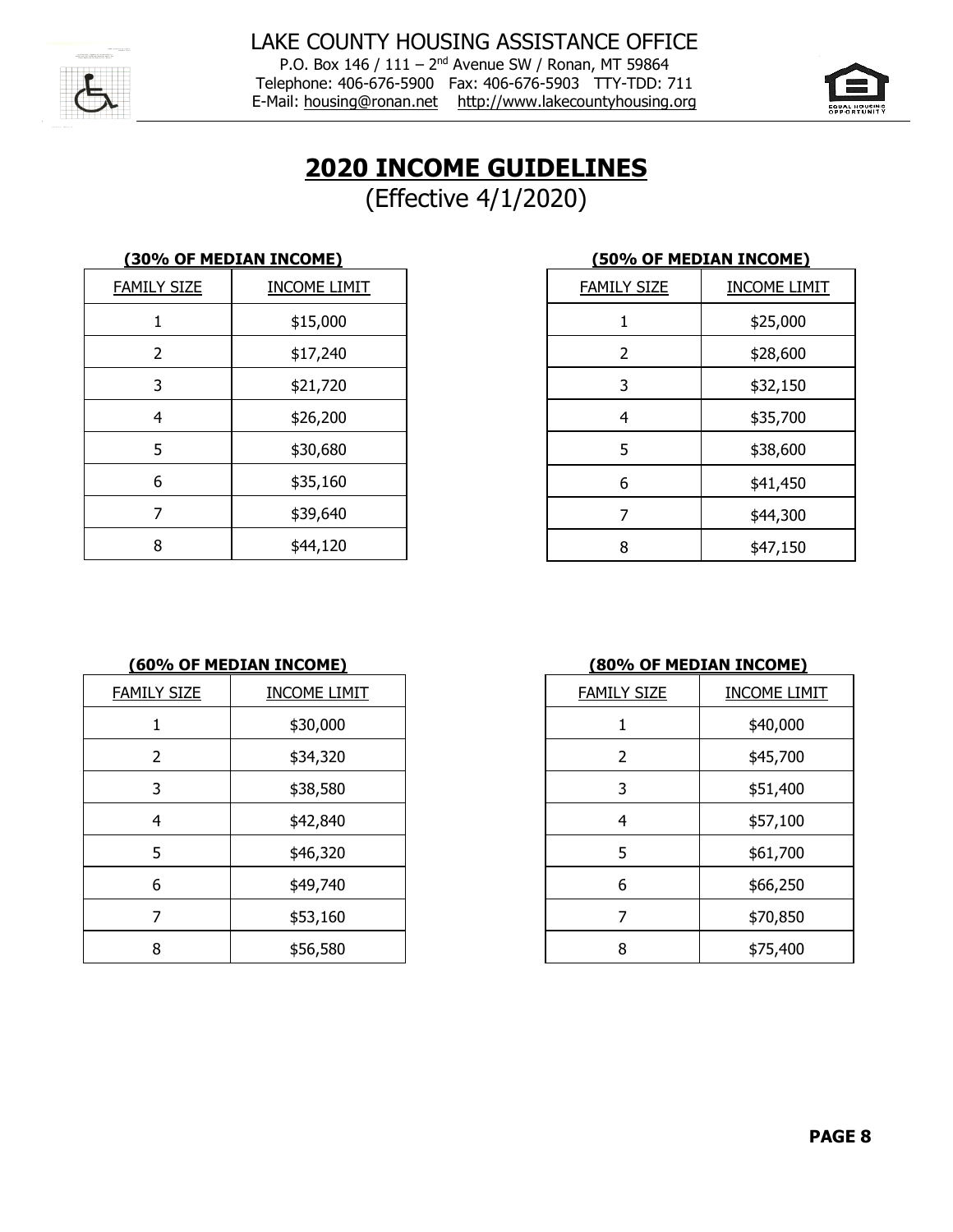

P.O. Box 146 / 111 - 2<sup>nd</sup> Avenue SW / Ronan, MT 59864 Telephone: 406-676-5900 Fax: 406-676-5903 TTY-TDD: 711 E-Mail: [housing@ronan.net](mailto:housing@ronan.net) [http://www.lakecountyhousing.org](http://www.lakecountyhousing.org/)



## **INCOME GUIDELINES**

(Effective 4/1/2020)

|                    | <u>(30% OF MEDIAN INCOME)</u> | <u>(50% OF MEDIAN INCOME)</u> |                   |
|--------------------|-------------------------------|-------------------------------|-------------------|
| <b>FAMILY SIZE</b> | <b>INCOME LIMIT</b>           | <b>FAMILY SIZE</b>            | <b>INCOME LIN</b> |
|                    | \$15,000                      |                               | \$25,000          |
|                    | \$17,240                      |                               | \$28,600          |
| 3                  | \$21,720                      | 3                             | \$32,150          |
| 4                  | \$26,200                      | 4                             | \$35,700          |
| 5                  | \$30,680                      | 5                             | \$38,600          |
| 6                  | \$35,160                      | 6                             | \$41,450          |
|                    | \$39,640                      |                               | \$44,300          |
| 8                  | \$44,120                      | 8                             | \$47,150          |

| (50% OF MEDIAN INCOME) |                     |  |  |  |
|------------------------|---------------------|--|--|--|
| <b>FAMILY SIZE</b>     | <b>INCOME LIMIT</b> |  |  |  |
| 1                      | \$25,000            |  |  |  |
| 2                      | \$28,600            |  |  |  |
| 3                      | \$32,150            |  |  |  |
| 4                      | \$35,700            |  |  |  |
| 5                      | \$38,600            |  |  |  |
| 6                      | \$41,450            |  |  |  |
| 7                      | \$44,300            |  |  |  |
| 8                      | \$47,150            |  |  |  |

#### **(60% OF MEDIAN INCOME) (80% OF MEDIAN INCOME)**

| <b>FAMILY SIZE</b> | <b>INCOME LIMIT</b> | <b>FAMILY SIZE</b> | <b>INCOME LIMIT</b> |
|--------------------|---------------------|--------------------|---------------------|
|                    | \$30,000            |                    | \$40,000            |
| 2                  | \$34,320            | 2                  | \$45,700            |
| 3                  | \$38,580            | 3                  | \$51,400            |
| 4                  | \$42,840            | 4                  | \$57,100            |
| 5                  | \$46,320            | 5                  | \$61,700            |
| 6                  | \$49,740            | 6                  | \$66,250            |
|                    | \$53,160            |                    | \$70,850            |
| 8                  | \$56,580            | 8                  | \$75,400            |

| <u>Y SIZE</u> | <b>INCOME LIMIT</b> | <b>FAMILY SIZE</b> | <b>INCOME LIMIT</b> |
|---------------|---------------------|--------------------|---------------------|
| 1             | \$30,000            |                    | \$40,000            |
| 2             | \$34,320            |                    | \$45,700            |
| 3             | \$38,580            | 3                  | \$51,400            |
| 4             | \$42,840            | 4                  | \$57,100            |
| 5             | \$46,320            | 5                  | \$61,700            |
| 6             | \$49,740            | 6                  | \$66,250            |
| 7             | \$53,160            |                    | \$70,850            |
| 8             | \$56,580            | 8                  | \$75,400            |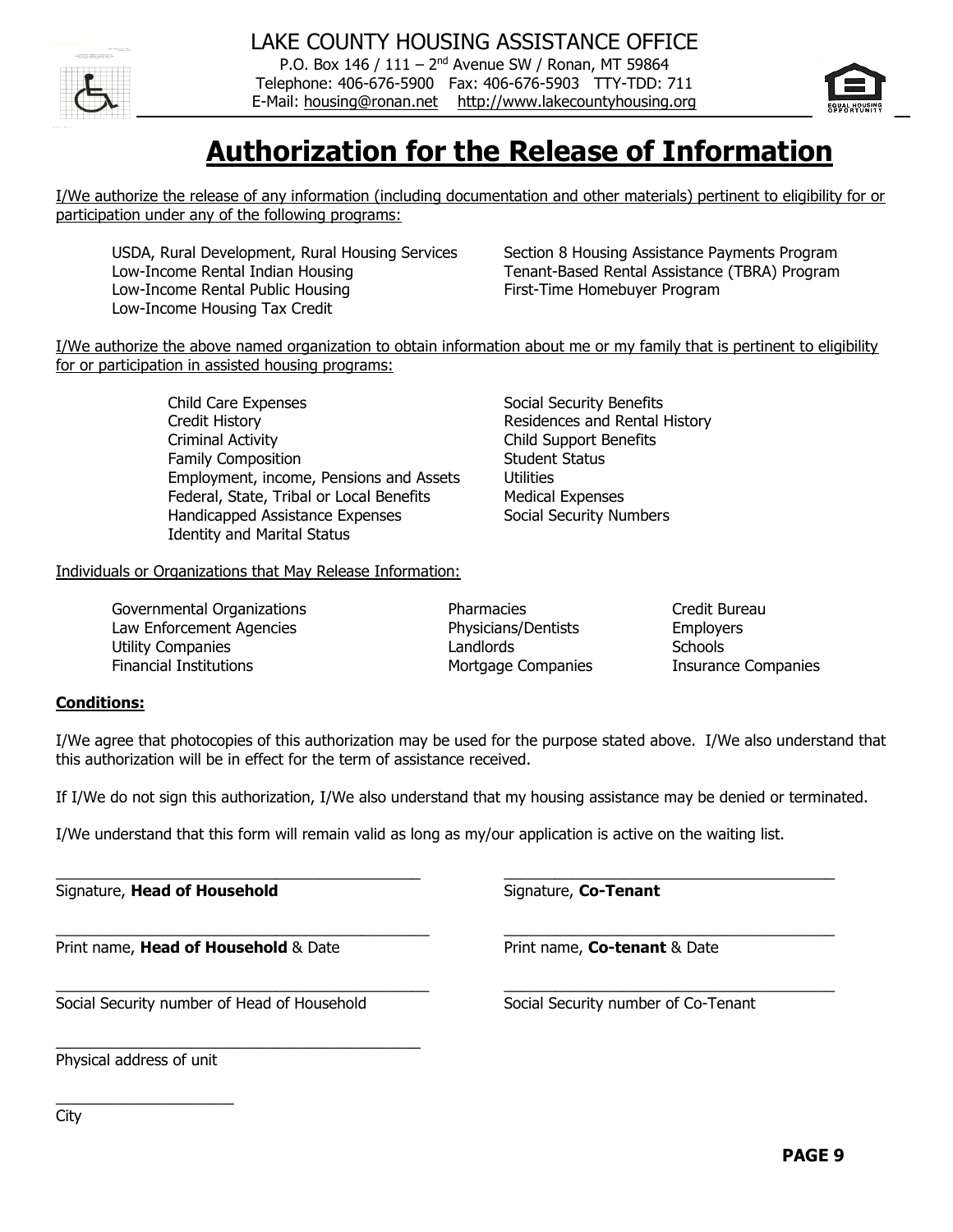P.O. Box 146 / 111 - 2<sup>nd</sup> Avenue SW / Ronan, MT 59864 Telephone: 406-676-5900 Fax: 406-676-5903 TTY-TDD: 711 E-Mail: [housing@ronan.net](mailto:housing@ronan.net) [http://www.lakecountyhousing.org](http://www.lakecountyhousing.org/)



# **Authorization for the Release of Information**

I/We authorize the release of any information (including documentation and other materials) pertinent to eligibility for or participation under any of the following programs:

USDA, Rural Development, Rural Housing Services Section 8 Housing Assistance Payments Program Low-Income Rental Indian Housing Tenant-Based Rental Assistance (TBRA) Program Low-Income Rental Public Housing First-Time Homebuyer Program Low-Income Housing Tax Credit

I/We authorize the above named organization to obtain information about me or my family that is pertinent to eligibility for or participation in assisted housing programs:

> Child Care Expenses Social Security Benefits Credit History **Residences** and Rental History Criminal Activity Child Support Benefits Family Composition **Student Status** Student Status Employment, income, Pensions and Assets Utilities Federal, State, Tribal or Local Benefits Medical Expenses Handicapped Assistance Expenses Social Security Numbers Identity and Marital Status

Individuals or Organizations that May Release Information:

Governmental Organizations **Exercise Server Credit Bureau** Pharmacies **Credit Bureau** Law Enforcement Agencies Physicians/Dentists Employers Utility Companies **Companies Companies Companies Companies Companies Companies Companies Companies Companies** Financial Institutions Mortgage Companies Insurance Companies

#### **Conditions:**

I/We agree that photocopies of this authorization may be used for the purpose stated above. I/We also understand that this authorization will be in effect for the term of assistance received.

If I/We do not sign this authorization, I/We also understand that my housing assistance may be denied or terminated.

\_\_\_\_\_\_\_\_\_\_\_\_\_\_\_\_\_\_\_\_\_\_\_\_\_\_\_\_\_\_\_\_\_\_\_\_\_\_\_\_\_\_\_ \_\_\_\_\_\_\_\_\_\_\_\_\_\_\_\_\_\_\_\_\_\_\_\_\_\_\_\_\_\_\_\_\_\_\_\_\_\_\_

\_\_\_\_\_\_\_\_\_\_\_\_\_\_\_\_\_\_\_\_\_\_\_\_\_\_\_\_\_\_\_\_\_\_\_\_\_\_\_\_\_\_\_\_ \_\_\_\_\_\_\_\_\_\_\_\_\_\_\_\_\_\_\_\_\_\_\_\_\_\_\_\_\_\_\_\_\_\_\_\_\_\_\_

\_\_\_\_\_\_\_\_\_\_\_\_\_\_\_\_\_\_\_\_\_\_\_\_\_\_\_\_\_\_\_\_\_\_\_\_\_\_\_\_\_\_\_\_ \_\_\_\_\_\_\_\_\_\_\_\_\_\_\_\_\_\_\_\_\_\_\_\_\_\_\_\_\_\_\_\_\_\_\_\_\_\_\_

I/We understand that this form will remain valid as long as my/our application is active on the waiting list.

Signature, **Head of Household** Signature, **Co-Tenant** 

Print name, **Head of Household** & Date Print name, **Co-tenant** & Date

Social Security number of Head of Household Social Security number of Co-Tenant

\_\_\_\_\_\_\_\_\_\_\_\_\_\_\_\_\_\_\_\_\_\_\_\_\_\_\_\_\_\_\_\_\_\_\_\_\_\_\_\_\_\_\_

Physical address of unit

\_\_\_\_\_\_\_\_\_\_\_\_\_\_\_\_\_\_\_\_\_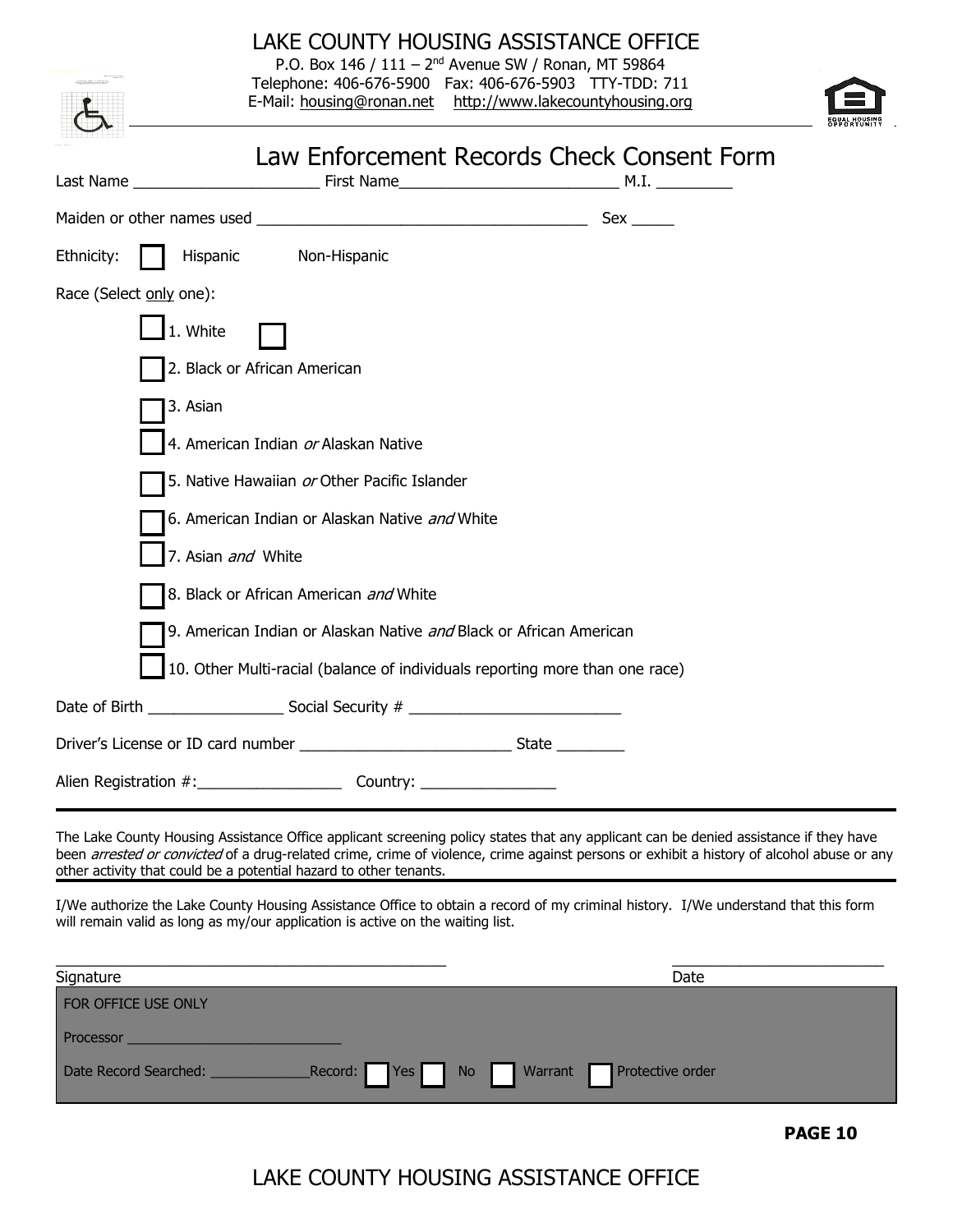| LAKE COUNTY HOUSING ASSISTANCE OFFICE<br>P.O. Box 146 / 111 - 2 <sup>nd</sup> Avenue SW / Ronan, MT 59864<br>Telephone: 406-676-5900  Fax: 406-676-5903  TTY-TDD: 711<br>E-Mail: housing@ronan.net http://www.lakecountyhousing.org |
|-------------------------------------------------------------------------------------------------------------------------------------------------------------------------------------------------------------------------------------|
|                                                                                                                                                                                                                                     |
| Law Enforcement Records Check Consent Form<br>Last Name _                                                                                                                                                                           |
|                                                                                                                                                                                                                                     |
| Hispanic<br>Ethnicity:<br>Non-Hispanic                                                                                                                                                                                              |
| Race (Select only one):                                                                                                                                                                                                             |
| 1. White                                                                                                                                                                                                                            |
| 2. Black or African American                                                                                                                                                                                                        |
| 3. Asian                                                                                                                                                                                                                            |
| 4. American Indian or Alaskan Native                                                                                                                                                                                                |
| 5. Native Hawaiian or Other Pacific Islander                                                                                                                                                                                        |
| 6. American Indian or Alaskan Native and White                                                                                                                                                                                      |
| 7. Asian and White                                                                                                                                                                                                                  |
| 8. Black or African American and White                                                                                                                                                                                              |
| 9. American Indian or Alaskan Native and Black or African American                                                                                                                                                                  |
| 10. Other Multi-racial (balance of individuals reporting more than one race)                                                                                                                                                        |
|                                                                                                                                                                                                                                     |
|                                                                                                                                                                                                                                     |
| Alien Registration #: Country:                                                                                                                                                                                                      |

The Lake County Housing Assistance Office applicant screening policy states that any applicant can be denied assistance if they have been *arrested or convicted* of a drug-related crime, crime of violence, crime against persons or exhibit a history of alcohol abuse or any other activity that could be a potential hazard to other tenants.

I/We authorize the Lake County Housing Assistance Office to obtain a record of my criminal history. I/We understand that this form will remain valid as long as my/our application is active on the waiting list.

| Signature                              | Date                                  |
|----------------------------------------|---------------------------------------|
| FOR OFFICE USE ONLY                    |                                       |
| Processor                              |                                       |
| $Record:$ Yes<br>Date Record Searched: | Warrant <b>Protective order</b><br>No |

**PAGE 10**

## LAKE COUNTY HOUSING ASSISTANCE OFFICE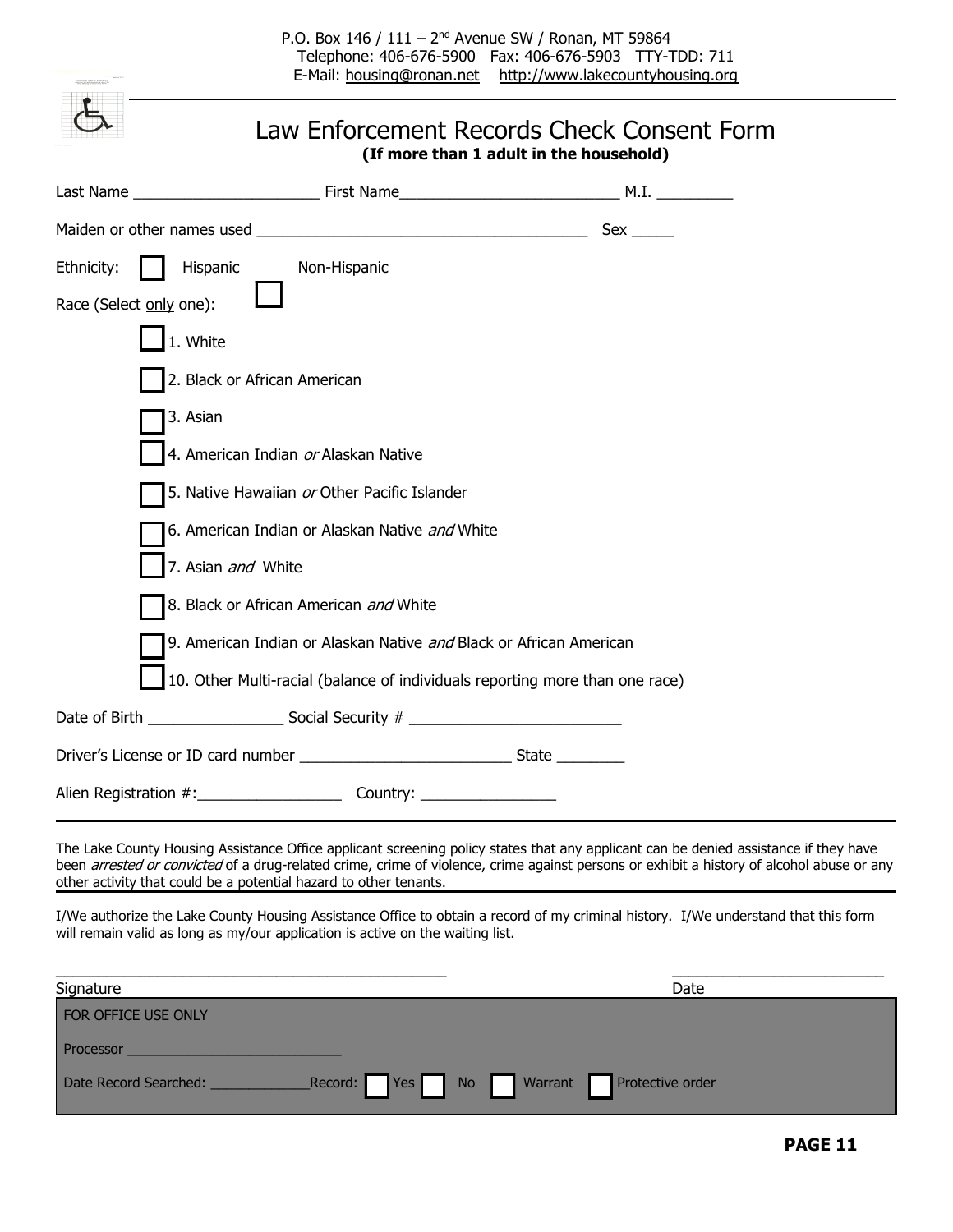P.O. Box 146 / 111 - 2<sup>nd</sup> Avenue SW / Ronan, MT 59864 Telephone: 406-676-5900 Fax: 406-676-5903 TTY-TDD: 711 E-Mail: [housing@ronan.net](mailto:housing@ronan.net) [http://www.lakecountyhousing.org](http://www.lakecountyhousing.org/)

|                         | Law Enforcement Records Check Consent Form<br>(If more than 1 adult in the household) |  |                                               |  |  |  |  |
|-------------------------|---------------------------------------------------------------------------------------|--|-----------------------------------------------|--|--|--|--|
|                         |                                                                                       |  |                                               |  |  |  |  |
|                         |                                                                                       |  |                                               |  |  |  |  |
| Ethnicity:<br>Hispanic  | Non-Hispanic                                                                          |  |                                               |  |  |  |  |
| Race (Select only one): |                                                                                       |  |                                               |  |  |  |  |
| 1. White                |                                                                                       |  |                                               |  |  |  |  |
|                         | 2. Black or African American                                                          |  |                                               |  |  |  |  |
| 3. Asian                |                                                                                       |  |                                               |  |  |  |  |
|                         | 4. American Indian or Alaskan Native                                                  |  |                                               |  |  |  |  |
|                         | 5. Native Hawaiian or Other Pacific Islander                                          |  |                                               |  |  |  |  |
|                         | 6. American Indian or Alaskan Native and White                                        |  |                                               |  |  |  |  |
|                         | 7. Asian and White                                                                    |  |                                               |  |  |  |  |
|                         | 8. Black or African American and White                                                |  |                                               |  |  |  |  |
|                         | 9. American Indian or Alaskan Native and Black or African American                    |  |                                               |  |  |  |  |
|                         | 10. Other Multi-racial (balance of individuals reporting more than one race)          |  |                                               |  |  |  |  |
|                         |                                                                                       |  |                                               |  |  |  |  |
|                         |                                                                                       |  |                                               |  |  |  |  |
|                         |                                                                                       |  | Alien Registration #: _______________________ |  |  |  |  |

The Lake County Housing Assistance Office applicant screening policy states that any applicant can be denied assistance if they have been arrested or convicted of a drug-related crime, crime of violence, crime against persons or exhibit a history of alcohol abuse or any other activity that could be a potential hazard to other tenants.

I/We authorize the Lake County Housing Assistance Office to obtain a record of my criminal history. I/We understand that this form will remain valid as long as my/our application is active on the waiting list.

| Signature                            | Date                           |
|--------------------------------------|--------------------------------|
| FOR OFFICE USE ONLY                  |                                |
| Processor                            |                                |
| Record: Yes<br>Date Record Searched: | Warrant Protective order<br>No |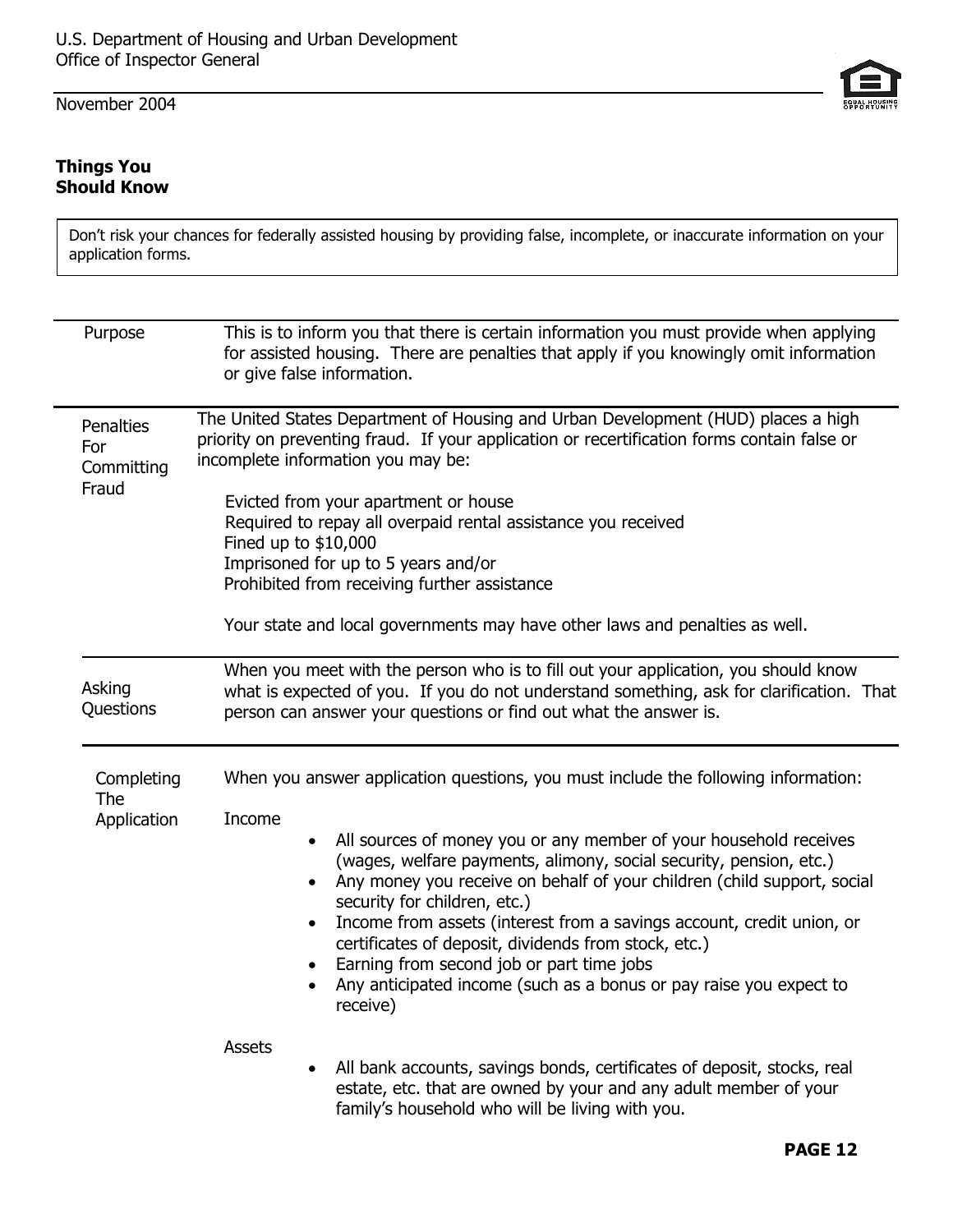November 2004

#### **Things You Should Know**

| Don't risk your chances for federally assisted housing by providing false, incomplete, or inaccurate information on your |  |  |  |  |
|--------------------------------------------------------------------------------------------------------------------------|--|--|--|--|
| application forms.                                                                                                       |  |  |  |  |

| Purpose                                 | This is to inform you that there is certain information you must provide when applying<br>for assisted housing. There are penalties that apply if you knowingly omit information<br>or give false information.                                                                                                                                                                                                                                                                                                                                                                                                                                            |  |  |  |
|-----------------------------------------|-----------------------------------------------------------------------------------------------------------------------------------------------------------------------------------------------------------------------------------------------------------------------------------------------------------------------------------------------------------------------------------------------------------------------------------------------------------------------------------------------------------------------------------------------------------------------------------------------------------------------------------------------------------|--|--|--|
| Penalties<br>For<br>Committing<br>Fraud | The United States Department of Housing and Urban Development (HUD) places a high<br>priority on preventing fraud. If your application or recertification forms contain false or<br>incomplete information you may be:<br>Evicted from your apartment or house<br>Required to repay all overpaid rental assistance you received<br>Fined up to \$10,000<br>Imprisoned for up to 5 years and/or<br>Prohibited from receiving further assistance<br>Your state and local governments may have other laws and penalties as well.                                                                                                                             |  |  |  |
| Asking<br>Questions                     | When you meet with the person who is to fill out your application, you should know<br>what is expected of you. If you do not understand something, ask for clarification. That<br>person can answer your questions or find out what the answer is.                                                                                                                                                                                                                                                                                                                                                                                                        |  |  |  |
| Completing<br>The<br>Application        | When you answer application questions, you must include the following information:<br>Income<br>All sources of money you or any member of your household receives<br>(wages, welfare payments, alimony, social security, pension, etc.)<br>Any money you receive on behalf of your children (child support, social<br>$\bullet$<br>security for children, etc.)<br>Income from assets (interest from a savings account, credit union, or<br>$\bullet$<br>certificates of deposit, dividends from stock, etc.)<br>Earning from second job or part time jobs<br>$\bullet$<br>Any anticipated income (such as a bonus or pay raise you expect to<br>receive) |  |  |  |
|                                         | <b>Assets</b><br>All bank accounts, savings bonds, certificates of deposit, stocks, real<br>$\bullet$<br>estate, etc. that are owned by your and any adult member of your<br>family's household who will be living with you.                                                                                                                                                                                                                                                                                                                                                                                                                              |  |  |  |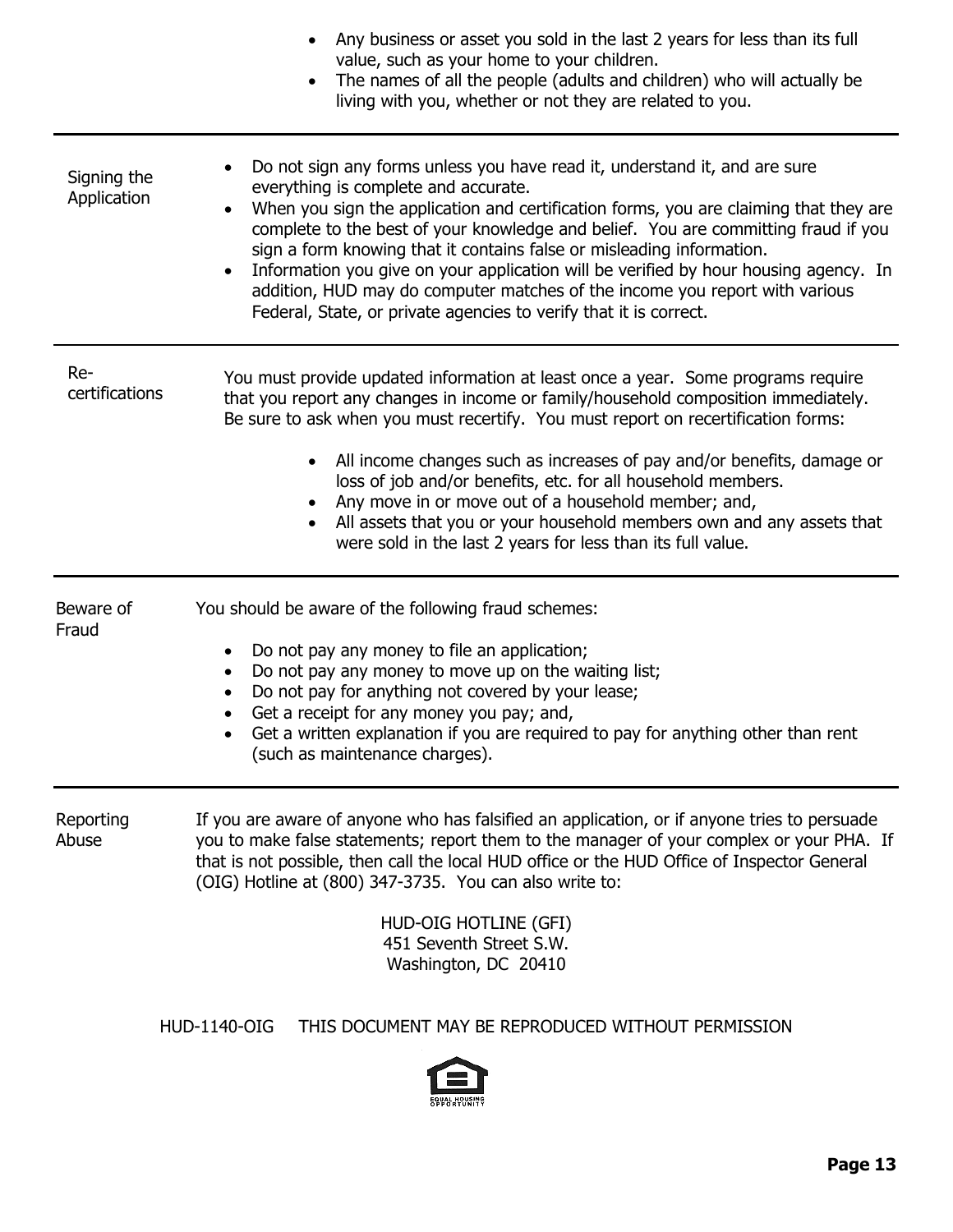|                            | Any business or asset you sold in the last 2 years for less than its full<br>value, such as your home to your children.<br>The names of all the people (adults and children) who will actually be<br>living with you, whether or not they are related to you.                                                                                                                                                                                                                                                                                                                                                                                    |
|----------------------------|--------------------------------------------------------------------------------------------------------------------------------------------------------------------------------------------------------------------------------------------------------------------------------------------------------------------------------------------------------------------------------------------------------------------------------------------------------------------------------------------------------------------------------------------------------------------------------------------------------------------------------------------------|
| Signing the<br>Application | Do not sign any forms unless you have read it, understand it, and are sure<br>$\bullet$<br>everything is complete and accurate.<br>When you sign the application and certification forms, you are claiming that they are<br>complete to the best of your knowledge and belief. You are committing fraud if you<br>sign a form knowing that it contains false or misleading information.<br>Information you give on your application will be verified by hour housing agency. In<br>$\bullet$<br>addition, HUD may do computer matches of the income you report with various<br>Federal, State, or private agencies to verify that it is correct. |
| Re-<br>certifications      | You must provide updated information at least once a year. Some programs require<br>that you report any changes in income or family/household composition immediately.<br>Be sure to ask when you must recertify. You must report on recertification forms:<br>All income changes such as increases of pay and/or benefits, damage or<br>loss of job and/or benefits, etc. for all household members.<br>Any move in or move out of a household member; and,<br>All assets that you or your household members own and any assets that<br>were sold in the last 2 years for less than its full value.                                             |
| Beware of<br>Fraud         | You should be aware of the following fraud schemes:<br>Do not pay any money to file an application;<br>$\bullet$<br>Do not pay any money to move up on the waiting list;<br>$\bullet$<br>Do not pay for anything not covered by your lease;<br>$\bullet$<br>Get a receipt for any money you pay; and,<br>Get a written explanation if you are required to pay for anything other than rent<br>(such as maintenance charges).                                                                                                                                                                                                                     |
| Reporting<br>Abuse         | If you are aware of anyone who has falsified an application, or if anyone tries to persuade<br>you to make false statements; report them to the manager of your complex or your PHA. If<br>that is not possible, then call the local HUD office or the HUD Office of Inspector General<br>(OIG) Hotline at (800) 347-3735. You can also write to:<br>HUD-OIG HOTLINE (GFI)<br>451 Seventh Street S.W.<br>Washington, DC 20410                                                                                                                                                                                                                    |
|                            | <b>HUD-1140-OIG</b><br>THIS DOCUMENT MAY BE REPRODUCED WITHOUT PERMISSION                                                                                                                                                                                                                                                                                                                                                                                                                                                                                                                                                                        |